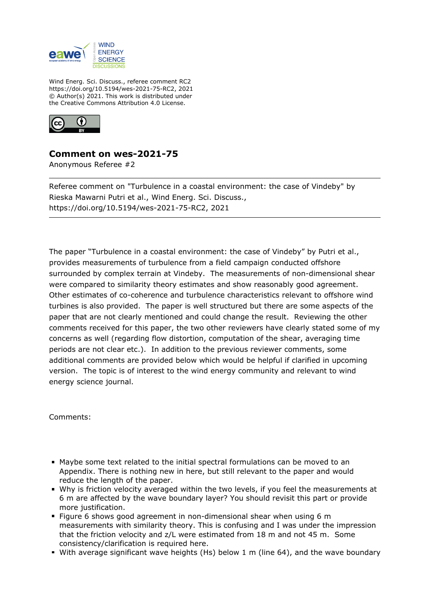

Wind Energ. Sci. Discuss., referee comment RC2 https://doi.org/10.5194/wes-2021-75-RC2, 2021 © Author(s) 2021. This work is distributed under the Creative Commons Attribution 4.0 License.



## **Comment on wes-2021-75**

Anonymous Referee #2

Referee comment on "Turbulence in a coastal environment: the case of Vindeby" by Rieska Mawarni Putri et al., Wind Energ. Sci. Discuss., https://doi.org/10.5194/wes-2021-75-RC2, 2021

The paper "Turbulence in a coastal environment: the case of Vindeby" by Putri et al., provides measurements of turbulence from a field campaign conducted offshore surrounded by complex terrain at Vindeby. The measurements of non-dimensional shear were compared to similarity theory estimates and show reasonably good agreement. Other estimates of co-coherence and turbulence characteristics relevant to offshore wind turbines is also provided. The paper is well structured but there are some aspects of the paper that are not clearly mentioned and could change the result. Reviewing the other comments received for this paper, the two other reviewers have clearly stated some of my concerns as well (regarding flow distortion, computation of the shear, averaging time periods are not clear etc.). In addition to the previous reviewer comments, some additional comments are provided below which would be helpful if clarified in upcoming version. The topic is of interest to the wind energy community and relevant to wind energy science journal.

Comments:

- Maybe some text related to the initial spectral formulations can be moved to an Appendix. There is nothing new in here, but still relevant to the paper and would reduce the length of the paper.
- Why is friction velocity averaged within the two levels, if you feel the measurements at 6 m are affected by the wave boundary layer? You should revisit this part or provide more justification.
- Figure 6 shows good agreement in non-dimensional shear when using 6 m measurements with similarity theory. This is confusing and I was under the impression that the friction velocity and z/L were estimated from 18 m and not 45 m. Some consistency/clarification is required here.
- With average significant wave heights (Hs) below 1 m (line 64), and the wave boundary